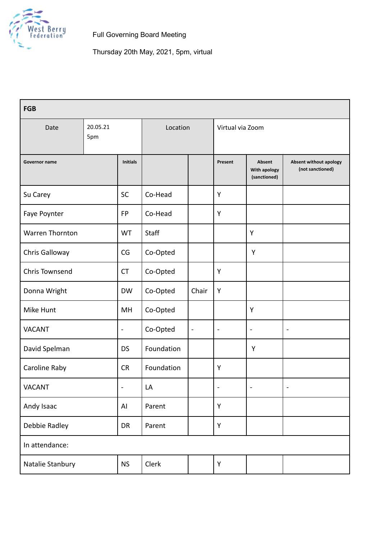

Full Governing Board Meeting

| <b>FGB</b>              |  |                 |              |                |                  |                                        |                                                   |
|-------------------------|--|-----------------|--------------|----------------|------------------|----------------------------------------|---------------------------------------------------|
| 20.05.21<br>Date<br>5pm |  |                 | Location     |                | Virtual via Zoom |                                        |                                                   |
| Governor name           |  | <b>Initials</b> |              |                | Present          | Absent<br>With apology<br>(sanctioned) | <b>Absent without apology</b><br>(not sanctioned) |
| Su Carey                |  | SC              | Co-Head      |                | Υ                |                                        |                                                   |
| Faye Poynter            |  | <b>FP</b>       | Co-Head      |                | Y                |                                        |                                                   |
| <b>Warren Thornton</b>  |  | WT              | <b>Staff</b> |                |                  | Y                                      |                                                   |
| Chris Galloway          |  | CG              | Co-Opted     |                |                  | Y                                      |                                                   |
| <b>Chris Townsend</b>   |  | <b>CT</b>       | Co-Opted     |                | Υ                |                                        |                                                   |
| Donna Wright            |  | <b>DW</b>       | Co-Opted     | Chair          | Y                |                                        |                                                   |
| Mike Hunt               |  | MH              | Co-Opted     |                |                  | Y                                      |                                                   |
| <b>VACANT</b>           |  | $\blacksquare$  | Co-Opted     | $\blacksquare$ | $\blacksquare$   | $\qquad \qquad \blacksquare$           | $\blacksquare$                                    |
| David Spelman           |  | <b>DS</b>       | Foundation   |                |                  | Y                                      |                                                   |
| Caroline Raby           |  | <b>CR</b>       | Foundation   |                | Y                |                                        |                                                   |
| <b>VACANT</b>           |  | $\blacksquare$  | LA           |                | $\blacksquare$   | $\blacksquare$                         | $\blacksquare$                                    |
| Andy Isaac              |  | AI              | Parent       |                | Y                |                                        |                                                   |
| Debbie Radley           |  | DR              | Parent       |                | Υ                |                                        |                                                   |
| In attendance:          |  |                 |              |                |                  |                                        |                                                   |
| Natalie Stanbury        |  | <b>NS</b>       | Clerk        |                | Υ                |                                        |                                                   |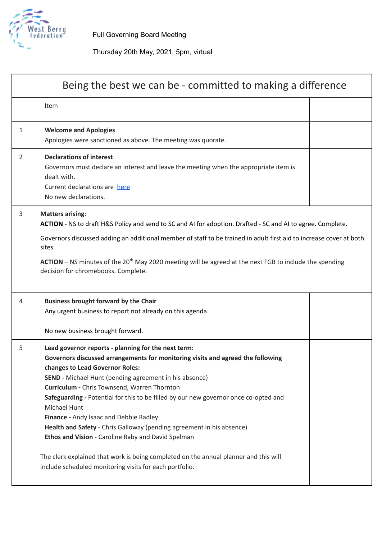

Full Governing Board Meeting

|   | Being the best we can be - committed to making a difference                                                                                                                                                                                                                                                                                                                                                                                                                                                                                                                                                                                                         |  |  |  |
|---|---------------------------------------------------------------------------------------------------------------------------------------------------------------------------------------------------------------------------------------------------------------------------------------------------------------------------------------------------------------------------------------------------------------------------------------------------------------------------------------------------------------------------------------------------------------------------------------------------------------------------------------------------------------------|--|--|--|
|   | Item                                                                                                                                                                                                                                                                                                                                                                                                                                                                                                                                                                                                                                                                |  |  |  |
| 1 | <b>Welcome and Apologies</b><br>Apologies were sanctioned as above. The meeting was quorate.                                                                                                                                                                                                                                                                                                                                                                                                                                                                                                                                                                        |  |  |  |
| 2 | <b>Declarations of interest</b><br>Governors must declare an interest and leave the meeting when the appropriate item is<br>dealt with.<br>Current declarations are here<br>No new declarations.                                                                                                                                                                                                                                                                                                                                                                                                                                                                    |  |  |  |
| 3 | <b>Matters arising:</b><br>ACTION - NS to draft H&S Policy and send to SC and AI for adoption. Drafted - SC and AI to agree. Complete.                                                                                                                                                                                                                                                                                                                                                                                                                                                                                                                              |  |  |  |
|   | Governors discussed adding an additional member of staff to be trained in adult first aid to increase cover at both<br>sites.                                                                                                                                                                                                                                                                                                                                                                                                                                                                                                                                       |  |  |  |
|   | $ACTION - NS$ minutes of the 20 <sup>th</sup> May 2020 meeting will be agreed at the next FGB to include the spending<br>decision for chromebooks. Complete.                                                                                                                                                                                                                                                                                                                                                                                                                                                                                                        |  |  |  |
| 4 | <b>Business brought forward by the Chair</b><br>Any urgent business to report not already on this agenda.                                                                                                                                                                                                                                                                                                                                                                                                                                                                                                                                                           |  |  |  |
|   | No new business brought forward.                                                                                                                                                                                                                                                                                                                                                                                                                                                                                                                                                                                                                                    |  |  |  |
| 5 | Lead governor reports - planning for the next term:<br>Governors discussed arrangements for monitoring visits and agreed the following<br>changes to Lead Governor Roles:<br><b>SEND</b> - Michael Hunt (pending agreement in his absence)<br>Curriculum - Chris Townsend, Warren Thornton<br>Safeguarding - Potential for this to be filled by our new governor once co-opted and<br>Michael Hunt<br>Finance - Andy Isaac and Debbie Radley<br>Health and Safety - Chris Galloway (pending agreement in his absence)<br>Ethos and Vision - Caroline Raby and David Spelman<br>The clerk explained that work is being completed on the annual planner and this will |  |  |  |
|   | include scheduled monitoring visits for each portfolio.                                                                                                                                                                                                                                                                                                                                                                                                                                                                                                                                                                                                             |  |  |  |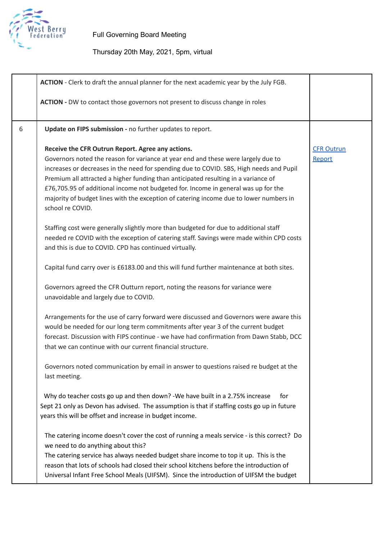

|   | ACTION - Clerk to draft the annual planner for the next academic year by the July FGB.                                                                                                                                                                                                                                                                                                                                                                                                                                      |                             |
|---|-----------------------------------------------------------------------------------------------------------------------------------------------------------------------------------------------------------------------------------------------------------------------------------------------------------------------------------------------------------------------------------------------------------------------------------------------------------------------------------------------------------------------------|-----------------------------|
|   | ACTION - DW to contact those governors not present to discuss change in roles                                                                                                                                                                                                                                                                                                                                                                                                                                               |                             |
| 6 | Update on FIPS submission - no further updates to report.                                                                                                                                                                                                                                                                                                                                                                                                                                                                   |                             |
|   | Receive the CFR Outrun Report. Agree any actions.<br>Governors noted the reason for variance at year end and these were largely due to<br>increases or decreases in the need for spending due to COVID. SBS, High needs and Pupil<br>Premium all attracted a higher funding than anticipated resulting in a variance of<br>£76,705.95 of additional income not budgeted for. Income in general was up for the<br>majority of budget lines with the exception of catering income due to lower numbers in<br>school re COVID. | <b>CFR Outrun</b><br>Report |
|   | Staffing cost were generally slightly more than budgeted for due to additional staff<br>needed re COVID with the exception of catering staff. Savings were made within CPD costs<br>and this is due to COVID. CPD has continued virtually.                                                                                                                                                                                                                                                                                  |                             |
|   | Capital fund carry over is £6183.00 and this will fund further maintenance at both sites.                                                                                                                                                                                                                                                                                                                                                                                                                                   |                             |
|   | Governors agreed the CFR Outturn report, noting the reasons for variance were<br>unavoidable and largely due to COVID.                                                                                                                                                                                                                                                                                                                                                                                                      |                             |
|   | Arrangements for the use of carry forward were discussed and Governors were aware this<br>would be needed for our long term commitments after year 3 of the current budget<br>forecast. Discussion with FIPS continue - we have had confirmation from Dawn Stabb, DCC<br>that we can continue with our current financial structure.                                                                                                                                                                                         |                             |
|   | Governors noted communication by email in answer to questions raised re budget at the<br>last meeting.                                                                                                                                                                                                                                                                                                                                                                                                                      |                             |
|   | Why do teacher costs go up and then down? - We have built in a 2.75% increase<br>for<br>Sept 21 only as Devon has advised. The assumption is that if staffing costs go up in future<br>years this will be offset and increase in budget income.                                                                                                                                                                                                                                                                             |                             |
|   | The catering income doesn't cover the cost of running a meals service - is this correct? Do<br>we need to do anything about this?<br>The catering service has always needed budget share income to top it up. This is the<br>reason that lots of schools had closed their school kitchens before the introduction of<br>Universal Infant Free School Meals (UIFSM). Since the introduction of UIFSM the budget                                                                                                              |                             |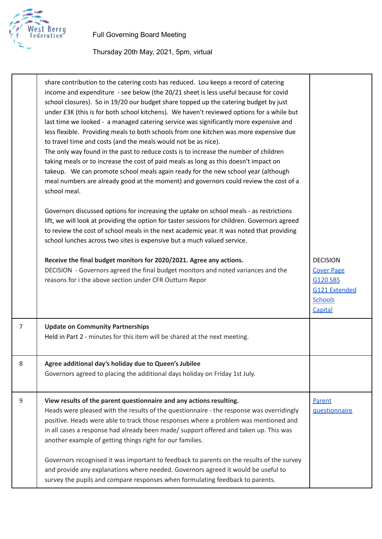

|                | share contribution to the catering costs has reduced. Lou keeps a record of catering<br>income and expenditure - see below (the 20/21 sheet is less useful because for covid<br>school closures). So in 19/20 our budget share topped up the catering budget by just<br>under £3K (this is for both school kitchens). We haven't reviewed options for a while but<br>last time we looked - a managed catering service was significantly more expensive and<br>less flexible. Providing meals to both schools from one kitchen was more expensive due<br>to travel time and costs (and the meals would not be as nice).<br>The only way found in the past to reduce costs is to increase the number of children<br>taking meals or to increase the cost of paid meals as long as this doesn't impact on<br>takeup. We can promote school meals again ready for the new school year (although<br>meal numbers are already good at the moment) and governors could review the cost of a<br>school meal.<br>Governors discussed options for increasing the uptake on school meals - as restrictions<br>lift, we will look at providing the option for taster sessions for children. Governors agreed<br>to review the cost of school meals in the next academic year. It was noted that providing<br>school lunches across two sites is expensive but a much valued service. |                                                                                                              |
|----------------|--------------------------------------------------------------------------------------------------------------------------------------------------------------------------------------------------------------------------------------------------------------------------------------------------------------------------------------------------------------------------------------------------------------------------------------------------------------------------------------------------------------------------------------------------------------------------------------------------------------------------------------------------------------------------------------------------------------------------------------------------------------------------------------------------------------------------------------------------------------------------------------------------------------------------------------------------------------------------------------------------------------------------------------------------------------------------------------------------------------------------------------------------------------------------------------------------------------------------------------------------------------------------------------------------------------------------------------------------------------------------|--------------------------------------------------------------------------------------------------------------|
|                | Receive the final budget monitors for 2020/2021. Agree any actions.<br>DECISION - Governors agreed the final budget monitors and noted variances and the<br>reasons for i the above section under CFR Outturn Repor                                                                                                                                                                                                                                                                                                                                                                                                                                                                                                                                                                                                                                                                                                                                                                                                                                                                                                                                                                                                                                                                                                                                                      | <b>DECISION</b><br><b>Cover Page</b><br><b>G120 SBS</b><br><b>G121 Extended</b><br><b>Schools</b><br>Capital |
| $\overline{7}$ | <b>Update on Community Partnerships</b><br>Held in Part 2 - minutes for this item will be shared at the next meeting.                                                                                                                                                                                                                                                                                                                                                                                                                                                                                                                                                                                                                                                                                                                                                                                                                                                                                                                                                                                                                                                                                                                                                                                                                                                    |                                                                                                              |
| 8              | Agree additional day's holiday due to Queen's Jubilee<br>Governors agreed to placing the additional days holiday on Friday 1st July.                                                                                                                                                                                                                                                                                                                                                                                                                                                                                                                                                                                                                                                                                                                                                                                                                                                                                                                                                                                                                                                                                                                                                                                                                                     |                                                                                                              |
| 9              | View results of the parent questionnaire and any actions resulting.<br>Heads were pleased with the results of the questionnaire - the response was overridingly<br>positive. Heads were able to track those responses where a problem was mentioned and<br>in all cases a response had already been made/ support offered and taken up. This was<br>another example of getting things right for our families.<br>Governors recognised it was important to feedback to parents on the results of the survey<br>and provide any explanations where needed. Governors agreed it would be useful to<br>survey the pupils and compare responses when formulating feedback to parents.                                                                                                                                                                                                                                                                                                                                                                                                                                                                                                                                                                                                                                                                                         | Parent<br>questionnaire                                                                                      |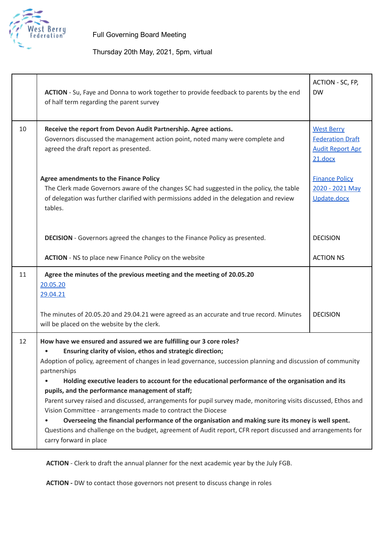

## Thursday 20th May, 2021, 5pm, virtual

|    | ACTION - Su, Faye and Donna to work together to provide feedback to parents by the end<br>of half term regarding the parent survey                                                                                                                                                                                                                                                                                                                                                                                                                                                                                                                                                                                                                                                                                                                        | ACTION - SC, FP,<br><b>DW</b>                                                      |  |  |
|----|-----------------------------------------------------------------------------------------------------------------------------------------------------------------------------------------------------------------------------------------------------------------------------------------------------------------------------------------------------------------------------------------------------------------------------------------------------------------------------------------------------------------------------------------------------------------------------------------------------------------------------------------------------------------------------------------------------------------------------------------------------------------------------------------------------------------------------------------------------------|------------------------------------------------------------------------------------|--|--|
| 10 | Receive the report from Devon Audit Partnership. Agree actions.<br>Governors discussed the management action point, noted many were complete and<br>agreed the draft report as presented.                                                                                                                                                                                                                                                                                                                                                                                                                                                                                                                                                                                                                                                                 | <b>West Berry</b><br><b>Federation Draft</b><br><b>Audit Report Apr</b><br>21.docx |  |  |
|    | <b>Agree amendments to the Finance Policy</b><br>The Clerk made Governors aware of the changes SC had suggested in the policy, the table<br>of delegation was further clarified with permissions added in the delegation and review<br>tables.                                                                                                                                                                                                                                                                                                                                                                                                                                                                                                                                                                                                            | <b>Finance Policy</b><br>2020 - 2021 May<br>Update.docx                            |  |  |
|    | <b>DECISION</b> - Governors agreed the changes to the Finance Policy as presented.                                                                                                                                                                                                                                                                                                                                                                                                                                                                                                                                                                                                                                                                                                                                                                        | <b>DECISION</b>                                                                    |  |  |
|    | <b>ACTION</b> - NS to place new Finance Policy on the website                                                                                                                                                                                                                                                                                                                                                                                                                                                                                                                                                                                                                                                                                                                                                                                             | <b>ACTION NS</b>                                                                   |  |  |
| 11 | Agree the minutes of the previous meeting and the meeting of 20.05.20<br>20.05.20<br>29.04.21                                                                                                                                                                                                                                                                                                                                                                                                                                                                                                                                                                                                                                                                                                                                                             |                                                                                    |  |  |
|    | The minutes of 20.05.20 and 29.04.21 were agreed as an accurate and true record. Minutes<br>will be placed on the website by the clerk.                                                                                                                                                                                                                                                                                                                                                                                                                                                                                                                                                                                                                                                                                                                   | <b>DECISION</b>                                                                    |  |  |
| 12 | How have we ensured and assured we are fulfilling our 3 core roles?<br>Ensuring clarity of vision, ethos and strategic direction;<br>Adoption of policy, agreement of changes in lead governance, succession planning and discussion of community<br>partnerships<br>Holding executive leaders to account for the educational performance of the organisation and its<br>pupils, and the performance management of staff;<br>Parent survey raised and discussed, arrangements for pupil survey made, monitoring visits discussed, Ethos and<br>Vision Committee - arrangements made to contract the Diocese<br>Overseeing the financial performance of the organisation and making sure its money is well spent.<br>Questions and challenge on the budget, agreement of Audit report, CFR report discussed and arrangements for<br>carry forward in place |                                                                                    |  |  |

**ACTION** - Clerk to draft the annual planner for the next academic year by the July FGB.

**ACTION -** DW to contact those governors not present to discuss change in roles